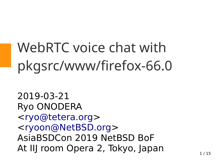WebRTC voice chat with pkgsrc/www/firefox-66.0

2019-03-21 Ryo ONODERA <[ryo@tetera.org](mailto:ryo@tetera.org)> <[ryoon@NetBSD.org](mailto:ryoon@NetBSD.org)> AsiaBSDCon 2019 NetBSD BoF At IIJ room Opera 2, Tokyo, Japan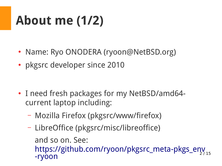## **About me (1/2)**

- Name: Ryo ONODERA (ryoon@NetBSD.org)
- pkgsrc developer since 2010

- I need fresh packages for my NetBSD/amd64current laptop including:
	- Mozilla Firefox (pkgsrc/www/firefox)
	- 2 / 15 – LibreOffice (pkgsrc/misc/libreoffice) and so on. See: [https://github.com/ryoon/pkgsrc\\_meta-pkgs\\_env](https://github.com/ryoon/pkgsrc_meta-pkgs_env-ryoon) [-ryoon](https://github.com/ryoon/pkgsrc_meta-pkgs_env-ryoon)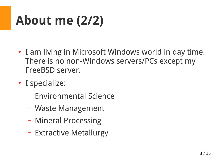## **About me (2/2)**

- I am living in Microsoft Windows world in day time. There is no non-Windows servers/PCs except my FreeBSD server.
- I specialize:
	- Environmental Science
	- Waste Management
	- Mineral Processing
	- Extractive Metallurgy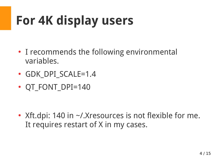# **For 4K display users**

- I recommends the following environmental variables.
- GDK DPI SCALE=1.4
- QT\_FONT\_DPI=140

• Xft.dpi: 140 in  $\sim$ /.Xresources is not flexible for me. It requires restart of X in my cases.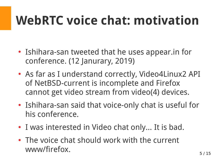### **WebRTC voice chat: motivation**

- Ishihara-san tweeted that he uses appear. in for conference. (12 Janurary, 2019)
- As far as I understand correctly, Video4Linux2 API of NetBSD-current is incomplete and Firefox cannot get video stream from video(4) devices.
- Ishihara-san said that voice-only chat is useful for his conference.
- I was interested in Video chat only... It is bad.
- The voice chat should work with the current www/firefox.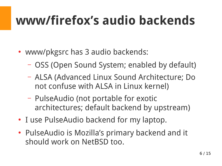#### **www/firefox's audio backends**

- www/pkgsrc has 3 audio backends:
	- OSS (Open Sound System; enabled by default)
	- ALSA (Advanced Linux Sound Architecture; Do not confuse with ALSA in Linux kernel)
	- PulseAudio (not portable for exotic architectures; default backend by upstream)
- I use PulseAudio backend for my laptop.
- PulseAudio is Mozilla's primary backend and it should work on NetBSD too.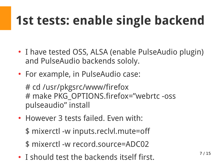## **1st tests: enable single backend**

- I have tested OSS, ALSA (enable PulseAudio plugin) and PulseAudio backends sololy.
- For example, in PulseAudio case:

# cd /usr/pkgsrc/www/firefox # make PKG\_OPTIONS.firefox="webrtc -oss pulseaudio" install

• However 3 tests failed. Even with:

\$ mixerctl -w inputs.reclvl.mute=off

\$ mixerctl -w record.source=ADC02

• I should test the backends itself first.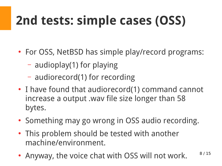# **2nd tests: simple cases (OSS)**

- For OSS, NetBSD has simple play/record programs:
	- audioplay(1) for playing
	- audiorecord(1) for recording
- I have found that audiorecord(1) command cannot increase a output .wav file size longer than 58 bytes.
- Something may go wrong in OSS audio recording.
- This problem should be tested with another machine/environment.
- 8 / 15 • Anyway, the voice chat with OSS will not work.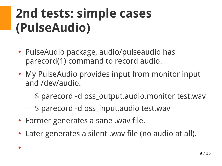#### **2nd tests: simple cases (PulseAudio)**

- PulseAudio package, audio/pulseaudio has parecord(1) command to record audio.
- My PulseAudio provides input from monitor input and /dev/audio.
	- \$ parecord -d oss\_output.audio.monitor test.wav
	- \$ parecord -d oss\_input.audio test.wav
- Former generates a sane .wav file.

●

Later generates a silent .wav file (no audio at all).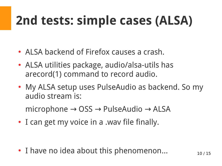## **2nd tests: simple cases (ALSA)**

- ALSA backend of Firefox causes a crash.
- ALSA utilities package, audio/alsa-utils has arecord(1) command to record audio.
- My ALSA setup uses PulseAudio as backend. So my audio stream is:

microphone  $\rightarrow$  OSS  $\rightarrow$  PulseAudio  $\rightarrow$  ALSA

• I can get my voice in a .wav file finally.

• I have no idea about this phenomenon...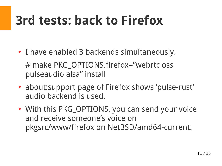### **3rd tests: back to Firefox**

- I have enabled 3 backends simultaneously. # make PKG\_OPTIONS.firefox="webrtc oss pulseaudio alsa" install
- about: support page of Firefox shows 'pulse-rust' audio backend is used.
- With this PKG\_OPTIONS, you can send your voice and receive someone's voice on pkgsrc/www/firefox on NetBSD/amd64-current.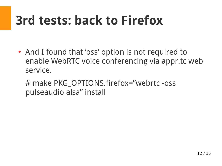### **3rd tests: back to Firefox**

- And I found that 'oss' option is not required to enable WebRTC voice conferencing via appr.tc web service.
	- # make PKG\_OPTIONS.firefox="webrtc -oss pulseaudio alsa" install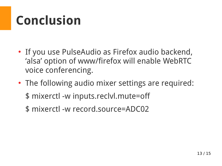#### **Conclusion**

- If you use PulseAudio as Firefox audio backend, 'alsa' option of www/firefox will enable WebRTC voice conferencing.
- The following audio mixer settings are required: \$ mixerctl -w inputs.reclvl.mute=off
	- \$ mixerctl -w record.source=ADC02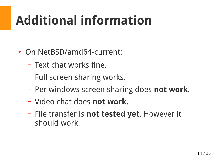### **Additional information**

- On NetBSD/amd64-current:
	- Text chat works fine.
	- Full screen sharing works.
	- Per windows screen sharing does **not work**.
	- Video chat does **not work**.
	- File transfer is **not tested yet**. However it should work.